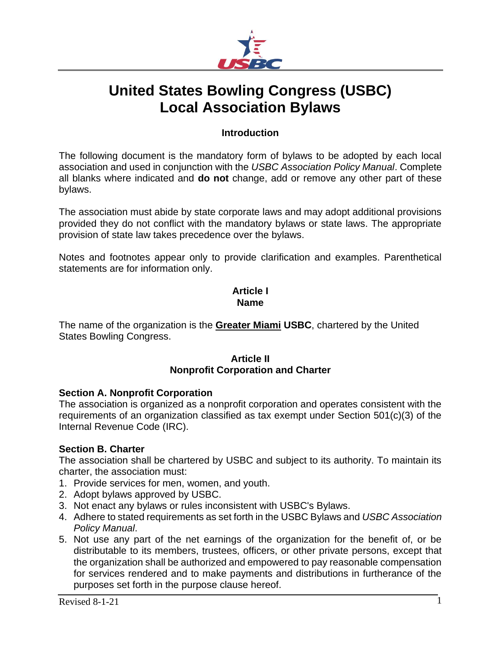

# **United States Bowling Congress (USBC) Local Association Bylaws**

## **Introduction**

The following document is the mandatory form of bylaws to be adopted by each local association and used in conjunction with the *USBC Association Policy Manual*. Complete all blanks where indicated and **do not** change, add or remove any other part of these bylaws.

The association must abide by state corporate laws and may adopt additional provisions provided they do not conflict with the mandatory bylaws or state laws. The appropriate provision of state law takes precedence over the bylaws.

Notes and footnotes appear only to provide clarification and examples. Parenthetical statements are for information only.

#### **Article I Name**

The name of the organization is the **Greater Miami USBC**, chartered by the United States Bowling Congress.

# **Article II Nonprofit Corporation and Charter**

## **Section A. Nonprofit Corporation**

The association is organized as a nonprofit corporation and operates consistent with the requirements of an organization classified as tax exempt under Section 501(c)(3) of the Internal Revenue Code (IRC).

## **Section B. Charter**

The association shall be chartered by USBC and subject to its authority. To maintain its charter, the association must:

- 1. Provide services for men, women, and youth.
- 2. Adopt bylaws approved by USBC.
- 3. Not enact any bylaws or rules inconsistent with USBC's Bylaws.
- 4. Adhere to stated requirements as set forth in the USBC Bylaws and *USBC Association Policy Manual*.
- 5. Not use any part of the net earnings of the organization for the benefit of, or be distributable to its members, trustees, officers, or other private persons, except that the organization shall be authorized and empowered to pay reasonable compensation for services rendered and to make payments and distributions in furtherance of the purposes set forth in the purpose clause hereof.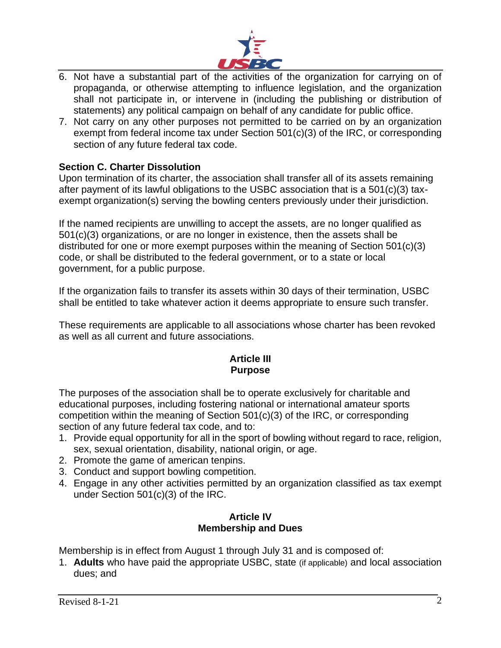

- 6. Not have a substantial part of the activities of the organization for carrying on of propaganda, or otherwise attempting to influence legislation, and the organization shall not participate in, or intervene in (including the publishing or distribution of statements) any political campaign on behalf of any candidate for public office.
- 7. Not carry on any other purposes not permitted to be carried on by an organization exempt from federal income tax under Section 501(c)(3) of the IRC, or corresponding section of any future federal tax code.

## **Section C. Charter Dissolution**

Upon termination of its charter, the association shall transfer all of its assets remaining after payment of its lawful obligations to the USBC association that is a 501(c)(3) taxexempt organization(s) serving the bowling centers previously under their jurisdiction.

If the named recipients are unwilling to accept the assets, are no longer qualified as 501(c)(3) organizations, or are no longer in existence, then the assets shall be distributed for one or more exempt purposes within the meaning of Section 501(c)(3) code, or shall be distributed to the federal government, or to a state or local government, for a public purpose.

If the organization fails to transfer its assets within 30 days of their termination, USBC shall be entitled to take whatever action it deems appropriate to ensure such transfer.

These requirements are applicable to all associations whose charter has been revoked as well as all current and future associations.

## **Article III Purpose**

The purposes of the association shall be to operate exclusively for charitable and educational purposes, including fostering national or international amateur sports competition within the meaning of Section 501(c)(3) of the IRC, or corresponding section of any future federal tax code, and to:

- 1. Provide equal opportunity for all in the sport of bowling without regard to race, religion, sex, sexual orientation, disability, national origin, or age.
- 2. Promote the game of american tenpins.
- 3. Conduct and support bowling competition.
- 4. Engage in any other activities permitted by an organization classified as tax exempt under Section 501(c)(3) of the IRC.

## **Article IV Membership and Dues**

Membership is in effect from August 1 through July 31 and is composed of:

1. **Adults** who have paid the appropriate USBC, state (if applicable) and local association dues; and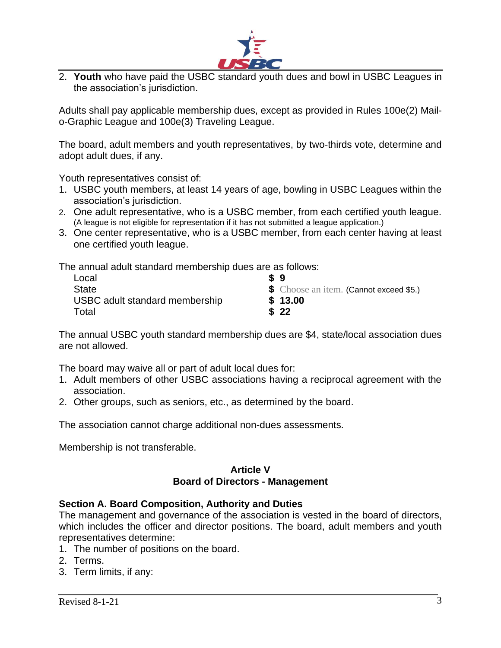

2. **Youth** who have paid the USBC standard youth dues and bowl in USBC Leagues in the association's jurisdiction.

Adults shall pay applicable membership dues, except as provided in Rules 100e(2) Mailo-Graphic League and 100e(3) Traveling League.

The board, adult members and youth representatives, by two-thirds vote, determine and adopt adult dues, if any.

Youth representatives consist of:

- 1. USBC youth members, at least 14 years of age, bowling in USBC Leagues within the association's jurisdiction.
- 2. One adult representative, who is a USBC member, from each certified youth league. (A league is not eligible for representation if it has not submitted a league application.)
- 3. One center representative, who is a USBC member, from each center having at least one certified youth league.

The annual adult standard membership dues are as follows:

| Local                          | \$9                                            |
|--------------------------------|------------------------------------------------|
| <b>State</b>                   | <b>\$</b> Choose an item. (Cannot exceed \$5.) |
| USBC adult standard membership | \$13.00                                        |
| Total                          | \$22                                           |

The annual USBC youth standard membership dues are \$4, state/local association dues are not allowed.

The board may waive all or part of adult local dues for:

- 1. Adult members of other USBC associations having a reciprocal agreement with the association.
- 2. Other groups, such as seniors, etc., as determined by the board.

The association cannot charge additional non-dues assessments.

Membership is not transferable.

# **Article V Board of Directors - Management**

## **Section A. Board Composition, Authority and Duties**

The management and governance of the association is vested in the board of directors, which includes the officer and director positions. The board, adult members and youth representatives determine:

- 1. The number of positions on the board.
- 2. Terms.
- 3. Term limits, if any: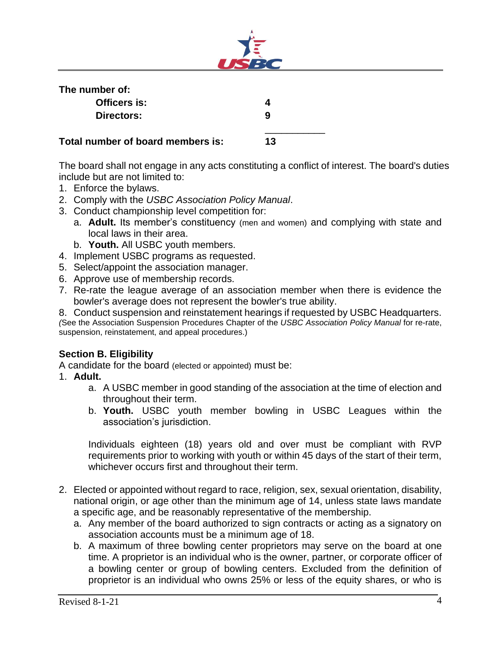

| The number of:                    |    |  |
|-----------------------------------|----|--|
| Officers is:                      |    |  |
| Directors:                        | q  |  |
| Total number of board members is: | 13 |  |

The board shall not engage in any acts constituting a conflict of interest. The board's duties include but are not limited to:

- 1. Enforce the bylaws.
- 2. Comply with the *USBC Association Policy Manual*.
- 3. Conduct championship level competition for:
	- a. **Adult.** Its member's constituency (men and women) and complying with state and local laws in their area.
	- b. **Youth.** All USBC youth members.
- 4. Implement USBC programs as requested.
- 5. Select/appoint the association manager.
- 6. Approve use of membership records.
- 7. Re-rate the league average of an association member when there is evidence the bowler's average does not represent the bowler's true ability.

8. Conduct suspension and reinstatement hearings if requested by USBC Headquarters. *(*See the Association Suspension Procedures Chapter of the *USBC Association Policy Manual* for re-rate, suspension, reinstatement, and appeal procedures.)

## **Section B. Eligibility**

A candidate for the board (elected or appointed) must be:

- 1. **Adult.**
	- a. A USBC member in good standing of the association at the time of election and throughout their term.
	- b. **Youth.** USBC youth member bowling in USBC Leagues within the association's jurisdiction.

Individuals eighteen (18) years old and over must be compliant with RVP requirements prior to working with youth or within 45 days of the start of their term, whichever occurs first and throughout their term.

- 2. Elected or appointed without regard to race, religion, sex, sexual orientation, disability, national origin, or age other than the minimum age of 14, unless state laws mandate a specific age, and be reasonably representative of the membership.
	- a. Any member of the board authorized to sign contracts or acting as a signatory on association accounts must be a minimum age of 18.
	- b. A maximum of three bowling center proprietors may serve on the board at one time. A proprietor is an individual who is the owner, partner, or corporate officer of a bowling center or group of bowling centers. Excluded from the definition of proprietor is an individual who owns 25% or less of the equity shares, or who is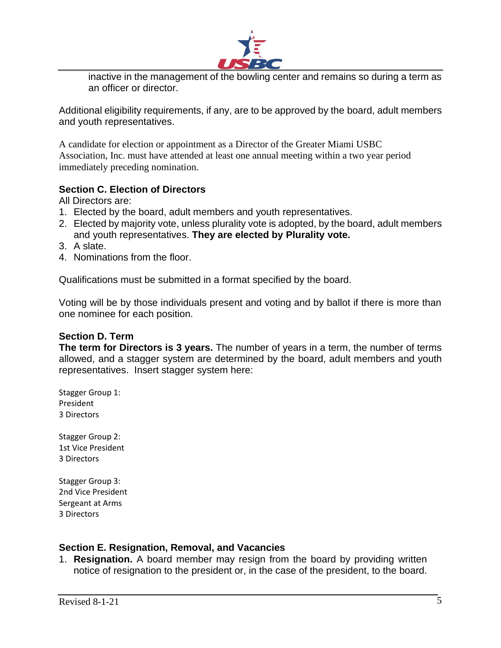

inactive in the management of the bowling center and remains so during a term as an officer or director.

Additional eligibility requirements, if any, are to be approved by the board, adult members and youth representatives.

A candidate for election or appointment as a Director of the Greater Miami USBC Association, Inc. must have attended at least one annual meeting within a two year period immediately preceding nomination.

## **Section C. Election of Directors**

All Directors are:

- 1. Elected by the board, adult members and youth representatives.
- 2. Elected by majority vote, unless plurality vote is adopted, by the board, adult members and youth representatives. **They are elected by Plurality vote.**
- 3. A slate.
- 4. Nominations from the floor.

Qualifications must be submitted in a format specified by the board.

Voting will be by those individuals present and voting and by ballot if there is more than one nominee for each position.

## **Section D. Term**

**The term for Directors is 3 years.** The number of years in a term, the number of terms allowed, and a stagger system are determined by the board, adult members and youth representatives. Insert stagger system here:

Stagger Group 1: President 3 Directors

Stagger Group 2: 1st Vice President 3 Directors

Stagger Group 3: 2nd Vice President Sergeant at Arms 3 Directors

## **Section E. Resignation, Removal, and Vacancies**

1. **Resignation.** A board member may resign from the board by providing written notice of resignation to the president or, in the case of the president, to the board.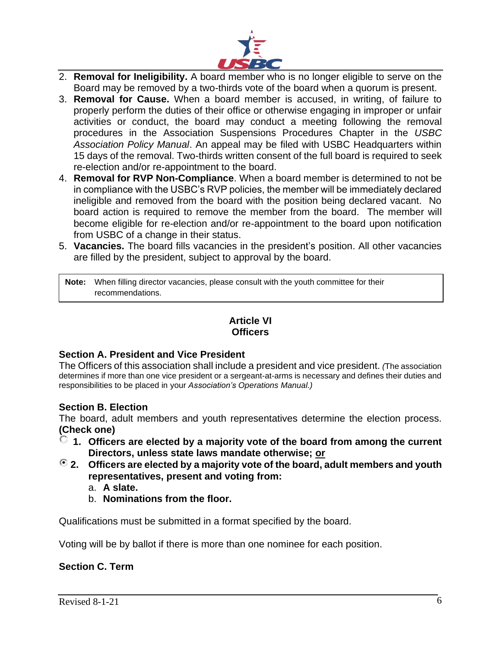

- 2. **Removal for Ineligibility.** A board member who is no longer eligible to serve on the Board may be removed by a two-thirds vote of the board when a quorum is present.
- 3. **Removal for Cause.** When a board member is accused, in writing, of failure to properly perform the duties of their office or otherwise engaging in improper or unfair activities or conduct, the board may conduct a meeting following the removal procedures in the Association Suspensions Procedures Chapter in the *USBC Association Policy Manual*. An appeal may be filed with USBC Headquarters within 15 days of the removal. Two-thirds written consent of the full board is required to seek re-election and/or re-appointment to the board.
- 4. **Removal for RVP Non-Compliance**. When a board member is determined to not be in compliance with the USBC's RVP policies, the member will be immediately declared ineligible and removed from the board with the position being declared vacant. No board action is required to remove the member from the board. The member will become eligible for re-election and/or re-appointment to the board upon notification from USBC of a change in their status.
- 5. **Vacancies.** The board fills vacancies in the president's position. All other vacancies are filled by the president, subject to approval by the board.

**Note:** When filling director vacancies, please consult with the youth committee for their recommendations.

# **Article VI Officers**

# **Section A. President and Vice President**

The Officers of this association shall include a president and vice president. *(*The association determines if more than one vice president or a sergeant-at-arms is necessary and defines their duties and responsibilities to be placed in your *Association's Operations Manual.)*

## **Section B. Election**

The board, adult members and youth representatives determine the election process. **(Check one)**

- **1. Officers are elected by a majority vote of the board from among the current Directors, unless state laws mandate otherwise; or**
- **2. Officers are elected by a majority vote of the board, adult members and youth representatives, present and voting from:**
	- a. **A slate.**
	- b. **Nominations from the floor.**

Qualifications must be submitted in a format specified by the board.

Voting will be by ballot if there is more than one nominee for each position.

## **Section C. Term**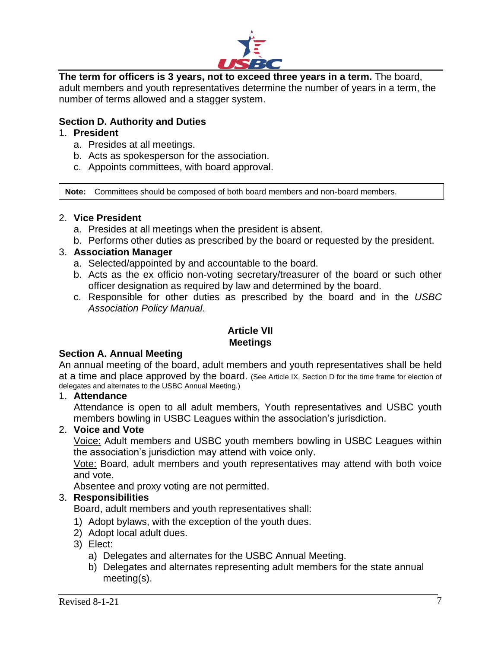

**The term for officers is 3 years, not to exceed three years in a term.** The board, adult members and youth representatives determine the number of years in a term, the number of terms allowed and a stagger system.

# **Section D. Authority and Duties**

## 1. **President**

- a. Presides at all meetings.
- b. Acts as spokesperson for the association.
- c. Appoints committees, with board approval.

**Note:** Committees should be composed of both board members and non-board members.

#### 2. **Vice President**

- a. Presides at all meetings when the president is absent.
- b. Performs other duties as prescribed by the board or requested by the president.

## 3. **Association Manager**

- a. Selected/appointed by and accountable to the board.
- b. Acts as the ex officio non-voting secretary/treasurer of the board or such other officer designation as required by law and determined by the board.
- c. Responsible for other duties as prescribed by the board and in the *USBC Association Policy Manual*.

#### **Article VII Meetings**

#### **Section A. Annual Meeting**

An annual meeting of the board, adult members and youth representatives shall be held at a time and place approved by the board. (See Article IX, Section D for the time frame for election of delegates and alternates to the USBC Annual Meeting.)

#### 1. **Attendance**

Attendance is open to all adult members, Youth representatives and USBC youth members bowling in USBC Leagues within the association's jurisdiction.

#### 2. **Voice and Vote**

Voice: Adult members and USBC youth members bowling in USBC Leagues within the association's jurisdiction may attend with voice only.

Vote: Board, adult members and youth representatives may attend with both voice and vote.

Absentee and proxy voting are not permitted.

## 3. **Responsibilities**

Board, adult members and youth representatives shall:

- 1) Adopt bylaws, with the exception of the youth dues.
- 2) Adopt local adult dues.
- 3) Elect:
	- a) Delegates and alternates for the USBC Annual Meeting.
	- b) Delegates and alternates representing adult members for the state annual meeting(s).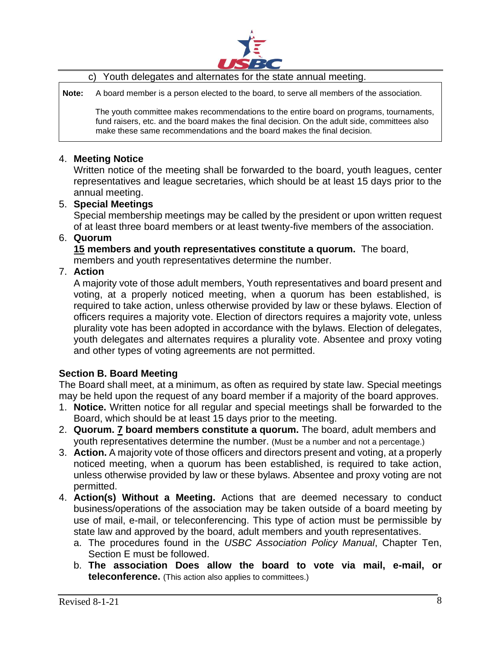

c) Youth delegates and alternates for the state annual meeting.

**Note:** A board member is a person elected to the board, to serve all members of the association.

The youth committee makes recommendations to the entire board on programs, tournaments, fund raisers, etc. and the board makes the final decision. On the adult side, committees also make these same recommendations and the board makes the final decision.

## 4. **Meeting Notice**

Written notice of the meeting shall be forwarded to the board, youth leagues, center representatives and league secretaries, which should be at least 15 days prior to the annual meeting.

## 5. **Special Meetings**

Special membership meetings may be called by the president or upon written request of at least three board members or at least twenty-five members of the association.

#### 6. **Quorum**

**15 members and youth representatives constitute a quorum.** The board, members and youth representatives determine the number.

## 7. **Action**

A majority vote of those adult members, Youth representatives and board present and voting, at a properly noticed meeting, when a quorum has been established, is required to take action, unless otherwise provided by law or these bylaws. Election of officers requires a majority vote. Election of directors requires a majority vote, unless plurality vote has been adopted in accordance with the bylaws. Election of delegates, youth delegates and alternates requires a plurality vote. Absentee and proxy voting and other types of voting agreements are not permitted.

## **Section B. Board Meeting**

The Board shall meet, at a minimum, as often as required by state law. Special meetings may be held upon the request of any board member if a majority of the board approves.

- 1. **Notice.** Written notice for all regular and special meetings shall be forwarded to the Board, which should be at least 15 days prior to the meeting.
- 2. **Quorum. 7 board members constitute a quorum.** The board, adult members and youth representatives determine the number. (Must be a number and not a percentage.)
- 3. **Action.** A majority vote of those officers and directors present and voting, at a properly noticed meeting, when a quorum has been established, is required to take action, unless otherwise provided by law or these bylaws. Absentee and proxy voting are not permitted.
- 4. **Action(s) Without a Meeting.** Actions that are deemed necessary to conduct business/operations of the association may be taken outside of a board meeting by use of mail, e-mail, or teleconferencing. This type of action must be permissible by state law and approved by the board, adult members and youth representatives.
	- a. The procedures found in the *USBC Association Policy Manual*, Chapter Ten, Section E must be followed.
	- b. **The association Does allow the board to vote via mail, e-mail, or teleconference.** (This action also applies to committees.)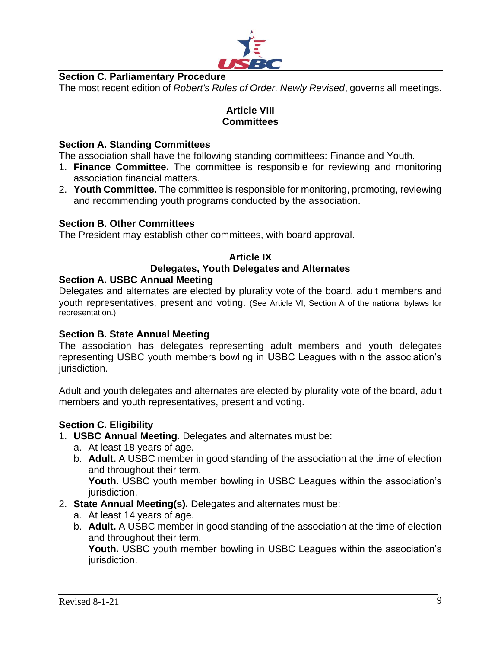

# **Section C. Parliamentary Procedure**

The most recent edition of *Robert's Rules of Order, Newly Revised*, governs all meetings.

## **Article VIII Committees**

#### **Section A. Standing Committees**

The association shall have the following standing committees: Finance and Youth.

- 1. **Finance Committee.** The committee is responsible for reviewing and monitoring association financial matters.
- 2. **Youth Committee.** The committee is responsible for monitoring, promoting, reviewing and recommending youth programs conducted by the association.

#### **Section B. Other Committees**

The President may establish other committees, with board approval.

# **Article IX Delegates, Youth Delegates and Alternates**

#### **Section A. USBC Annual Meeting**

Delegates and alternates are elected by plurality vote of the board, adult members and youth representatives, present and voting. (See Article VI, Section A of the national bylaws for representation.)

#### **Section B. State Annual Meeting**

The association has delegates representing adult members and youth delegates representing USBC youth members bowling in USBC Leagues within the association's jurisdiction.

Adult and youth delegates and alternates are elected by plurality vote of the board, adult members and youth representatives, present and voting.

#### **Section C. Eligibility**

- 1. **USBC Annual Meeting.** Delegates and alternates must be:
	- a. At least 18 years of age.
	- b. **Adult.** A USBC member in good standing of the association at the time of election and throughout their term. **Youth.** USBC youth member bowling in USBC Leagues within the association's jurisdiction.
- 2. **State Annual Meeting(s).** Delegates and alternates must be:
	- a. At least 14 years of age.
	- b. **Adult.** A USBC member in good standing of the association at the time of election and throughout their term.

**Youth.** USBC youth member bowling in USBC Leagues within the association's jurisdiction.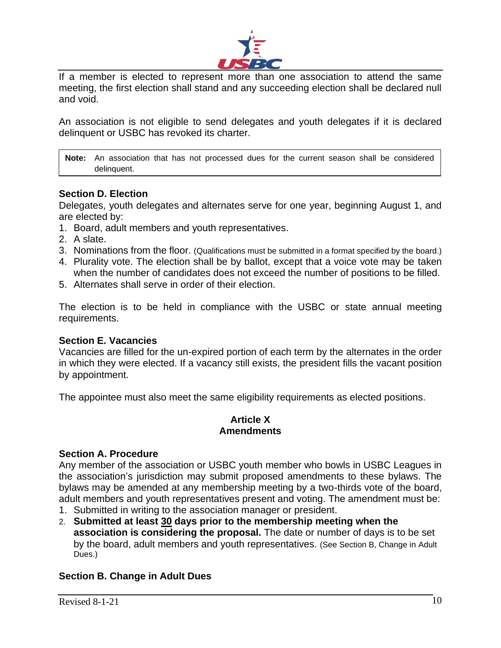

If a member is elected to represent more than one association to attend the same meeting, the first election shall stand and any succeeding election shall be declared null and void.

An association is not eligible to send delegates and youth delegates if it is declared delinquent or USBC has revoked its charter.

**Note:** An association that has not processed dues for the current season shall be considered delinquent.

## **Section D. Election**

Delegates, youth delegates and alternates serve for one year, beginning August 1, and are elected by:

- 1. Board, adult members and youth representatives.
- 2. A slate.
- 3. Nominations from the floor. (Qualifications must be submitted in a format specified by the board.)
- 4. Plurality vote. The election shall be by ballot, except that a voice vote may be taken when the number of candidates does not exceed the number of positions to be filled.
- 5. Alternates shall serve in order of their election.

The election is to be held in compliance with the USBC or state annual meeting requirements.

#### **Section E. Vacancies**

Vacancies are filled for the un-expired portion of each term by the alternates in the order in which they were elected. If a vacancy still exists, the president fills the vacant position by appointment.

The appointee must also meet the same eligibility requirements as elected positions.

#### **Article X Amendments**

#### **Section A. Procedure**

Any member of the association or USBC youth member who bowls in USBC Leagues in the association's jurisdiction may submit proposed amendments to these bylaws. The bylaws may be amended at any membership meeting by a two-thirds vote of the board, adult members and youth representatives present and voting. The amendment must be:

- 1. Submitted in writing to the association manager or president.
- 2. **Submitted at least 30 days prior to the membership meeting when the association is considering the proposal.** The date or number of days is to be set by the board, adult members and youth representatives. (See Section B, Change in Adult Dues.)

## **Section B. Change in Adult Dues**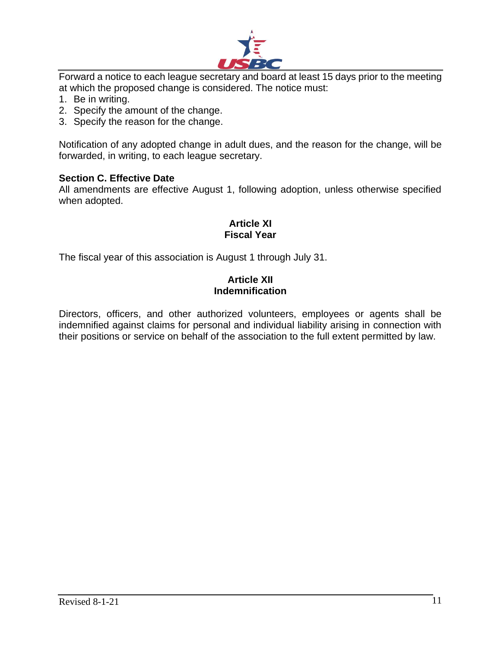

Forward a notice to each league secretary and board at least 15 days prior to the meeting at which the proposed change is considered. The notice must:

- 1. Be in writing.
- 2. Specify the amount of the change.
- 3. Specify the reason for the change.

Notification of any adopted change in adult dues, and the reason for the change, will be forwarded, in writing, to each league secretary.

#### **Section C. Effective Date**

All amendments are effective August 1, following adoption, unless otherwise specified when adopted.

## **Article XI Fiscal Year**

The fiscal year of this association is August 1 through July 31.

## **Article XII Indemnification**

Directors, officers, and other authorized volunteers, employees or agents shall be indemnified against claims for personal and individual liability arising in connection with their positions or service on behalf of the association to the full extent permitted by law.